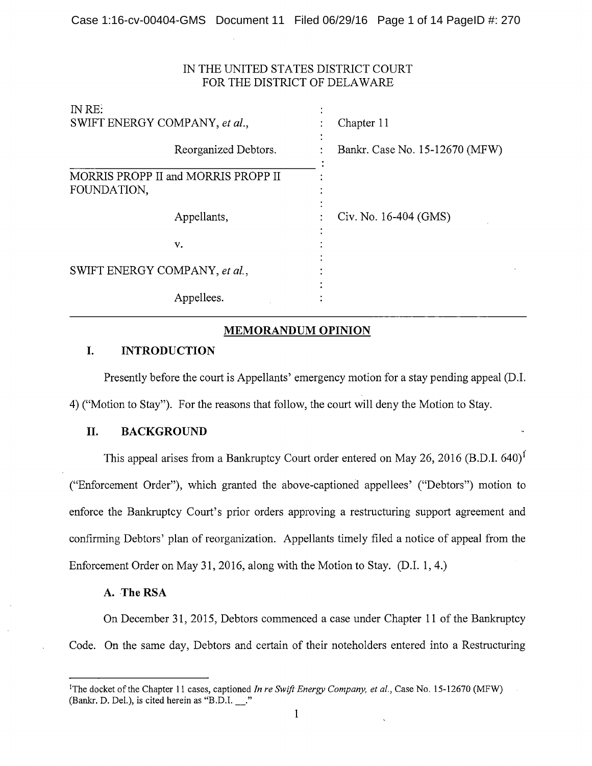## IN THE UNITED STATES DISTRICT COURT FOR THE DISTRICT OF DELAWARE

| Chapter 11                     |  |
|--------------------------------|--|
| Bankr. Case No. 15-12670 (MFW) |  |
|                                |  |
| Civ. No. 16-404 (GMS)          |  |
|                                |  |
|                                |  |

# **MEMORANDUM OPINION**

## **I. INTRODUCTION**

Presently before the court is Appellants' emergency motion for a stay pending appeal (D.I. 4) ("Motion to Stay"). For the reasons that follow, the court will deny the Motion to Stay.

### II. **BACKGROUND**

This appeal arises from a Bankruptcy Court order entered on May 26, 2016 (B.D.I. 640)<sup>1</sup> ("Enforcement Order"), which granted the above-captioned appellees' ("Debtors") motion to enforce the Bankruptcy Court's prior orders approving a restructuring support agreement and confirming Debtors' plan of reorganization. Appellants timely filed a notice of appeal from the Enforcement Order on May 31, 2016, along with the Motion to Stay. (D.I. 1, 4.)

### A. The RSA

On December 31, 2015, Debtors commenced a case under Chapter 11 of the Bankruptcy Code. On the same day, Debtors and certain of their noteholders entered into a Restructuring

<sup>&</sup>lt;sup>1</sup>The docket of the Chapter 11 cases, captioned *In re Swift Energy Company, et al.*, Case No. 15-12670 (MFW) (Bankr, D. Del.), is cited herein as "B.D.I. ."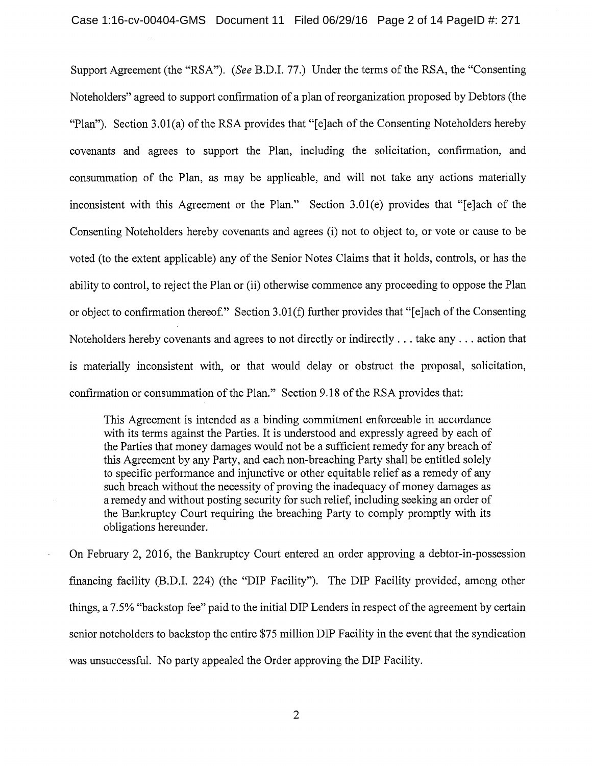Support Agreement (the "RSA"). *(See* B.D.I. 77.) Under the terms of the RSA, the "Consenting Noteholders" agreed to support confirmation of a plan of reorganization proposed by Debtors (the "Plan"). Section 3.0l(a) of the RSA provides that "[e]ach of the Consenting Noteholders hereby covenants and agrees to support the Plan, including the solicitation, confirmation, and consummation of the Plan, as may be applicable, and will not take any actions materially inconsistent with this Agreement or the Plan." Section 3.0l(e) provides that "[e]ach of the Consenting Noteholders hereby covenants and agrees (i) not to object to, or vote or cause to be voted (to the extent applicable) any of the Senior Notes Claims that it holds, controls, or has the ability to control, to reject the Plan or (ii) otherwise commence any proceeding to oppose the Plan or object to confirmation thereof." Section 3.0l(f) further provides that "[e]ach of the Consenting Noteholders hereby covenants and agrees to not directly or indirectly ... take any ... action that is materially inconsistent with, or that would delay or obstruct the proposal, solicitation, confirmation or consummation of the Plan." Section 9.18 of the RSA provides that:

This Agreement is intended as a binding commitment enforceable in accordance with its terms against the Parties. It is understood and expressly agreed by each of the Parties that money damages would not be a sufficient remedy for any breach of this Agreement by any Party, and each non-breaching Party shall be entitled solely to specific performance and injunctive or other equitable relief as a remedy of any such breach without the necessity of proving the inadequacy of money damages as a remedy and without posting security for such relief, including seeking an order of the Bankruptcy Court requiring the breaching Party to comply promptly with its obligations hereunder.

On February 2, 2016, the Bankruptcy Court entered an order approving a debtor-in-possession financing facility (B.D.I. 224) (the "DIP Facility"). The DIP Facility provided, among other things, a 7.5% "backstop fee" paid to the initial DIP Lenders in respect of the agreement by certain senior noteholders to backstop the entire \$75 million DIP Facility in the event that the syndication was unsuccessful. No party appealed the Order approving the DIP Facility.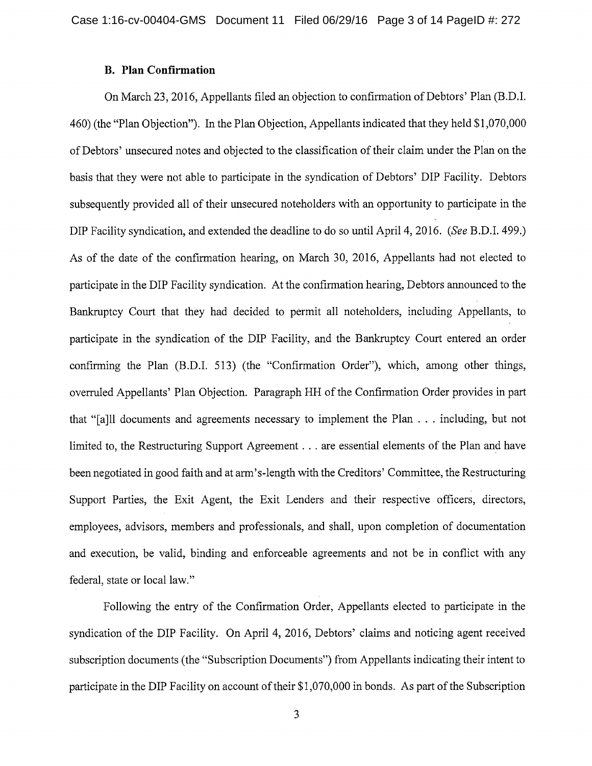#### **B. Plan Confirmation**

On March 23, 2016, Appellants filed an objection to confirmation of Debtors' Plan (B.D.I. 460) (the "Plan Objection"). In the Plan Objection, Appellants indicated that they held \$1,070,000 of Debtors' unsecured notes and objected to the classification of their claim under the Plan on the basis that they were not able to participate in the syndication of Debtors' DIP Facility. Debtors subsequently provided all of their unsecured noteholders with an opportunity to participate in the DIP Facility syndication, and extended the deadline to do so until April 4, 2016. *(See* B.D.I. 499.) As of the date of the confirmation hearing, on March 30, 2016, Appellants had not elected to participate in the DIP Facility syndication. At the confirmation hearing, Debtors announced to the Bankruptcy Court that they had decided to permit all noteholders, including Appellants, to participate in the syndication of the DIP Facility, and the Bankruptcy Court entered an order confirming the Plan (B.D.I. 513) (the "Confirmation Order"), which, among other things, overruled Appellants' Plan Objection. Paragraph HH of the Confirmation Order provides in part that "[a]ll documents and agreements necessary to implement the Plan ... including, but not limited to, the Restructuring Support Agreement ... are essential elements of the Plan and have been negotiated in good faith and at arm's-length with the Creditors' Committee, the Restructuring Support Parties, the Exit Agent, the Exit Lenders and their respective officers, directors, employees, advisors, members and professionals, and shall, upon completion of documentation and execution, be valid, binding and enforceable agreements and not be in conflict with any federal, state or local law."

Following the entry of the Confirmation Order, Appellants elected to participate in the syndication of the DIP Facility. On April 4, 2016, Debtors' claims and noticing agent received subscription documents (the "Subscription Documents") from Appellants indicating their intent to participate in the DIP Facility on account of their \$1,070,000 in bonds. As part of the Subscription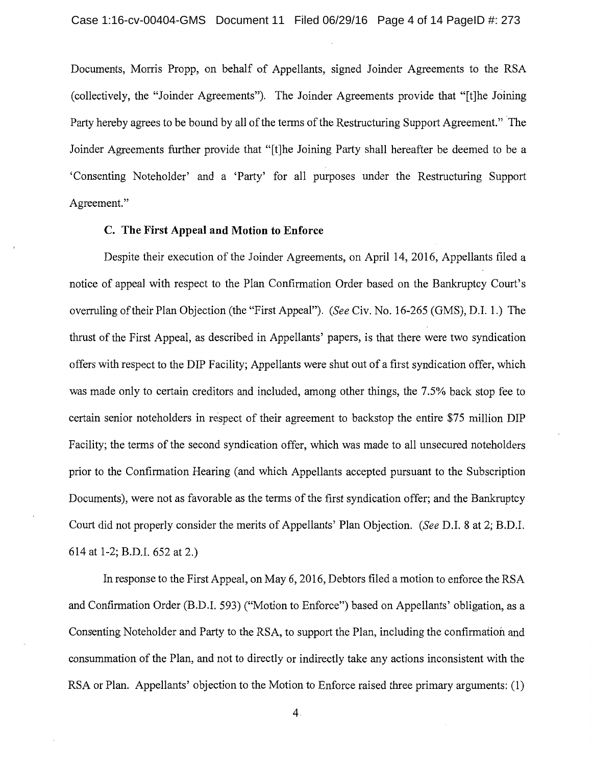Documents, Morris Propp, on behalf of Appellants, signed Joinder Agreements to the RSA (collectively, the "Joinder Agreements"). The Joinder Agreements provide that "[t]he Joining Party hereby agrees to be bound by all of the terms of the Restructuring Support Agreement." The Joinder Agreements further provide that "[t]he Joining Party shall hereafter be deemed to be a 'Consenting Noteholder' and a 'Party' for all purposes under the Restructuring Support Agreement."

## **C. The First Appeal and Motion to Enforce**

Despite their execution of the Joinder Agreements, on April 14, 2016, Appellants filed a notice of appeal with respect to the Plan Confirmation Order based on the Bankruptcy Court's overruling of their Plan Objection (the "First Appeal"). *(See* Civ. No. 16-265 (GMS), D.I. 1.) The thrust of the First Appeal, as described in Appellants' papers, is that there were two syndication offers with respect to the DIP Facility; Appellants were shut out of a first syndication offer, which was made only to certain creditors and included, among other things, the 7.5% back stop fee to certain senior noteholders in respect of their agreement to backstop the entire \$75 million DIP Facility; the terms of the second syndication offer, which was made to all unsecured noteholders prior to the Confirmation Hearing (and which Appellants accepted pursuant to the Subscription Documents), were not as favorable as the terms of the first syndication offer; and the Bankruptcy Court did not properly consider the merits of Appellants' Plan Objection. *(See* D.I. 8 at 2; B.D.I. 614 at 1-2; B.D.I. 652 at 2.)

In response to the First Appeal, on May 6, 2016, Debtors filed a motion to enforce the RSA and Confirmation Order (B.D.I. 593) ("Motion to Enforce") based on Appellants' obligation, as a Consenting Noteholder and Party to the RSA, to support the Plan, including the confirmation and consummation of the Plan, and not to directly or indirectly take any actions inconsistent with the RSA or Plan. Appellants' objection to the Motion to Enforce raised three primary arguments: (1)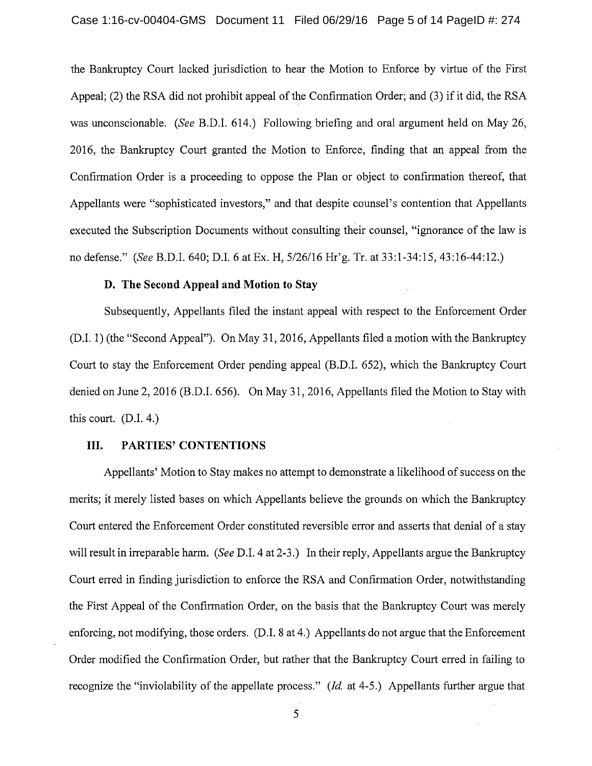the Bankruptcy Court lacked jurisdiction to hear the Motion to Enforce by virtue of the First Appeal; (2) the RSA did not prohibit appeal of the Confirmation Order; and (3) if it did, the RSA was unconscionable. *(See* B.D.I. 614.) Following briefing and oral argument held on May 26, 2016, the Bankruptcy Court granted the Motion to Enforce, finding that an appeal from the Confirmation Order is a proceeding to oppose the Plan or object to confirmation thereof, that Appellants were "sophisticated investors," and that despite counsel's contention that Appellants executed the Subscription Documents without consulting their counsel, "ignorance of the law is no defense." *(See* B.D.I. 640; D.I. 6 at Ex. H, 5/26/16 Hr'g. Tr. at 33:1-34:15, 43:16-44:12.)

### **D. The Second Appeal and Motion to** Stay

Subsequently, Appellants filed the instant appeal with respect to the Enforcement Order (D.I. 1) (the "Second Appeal"). On May 31, 2016, Appellants filed a motion with the Bankruptcy Court to stay the Enforcement Order pending appeal (B.D.I. 652), which the Bankruptcy Court denied on June 2, 2016 (B.D.I. 656). On May 31, 2016, Appellants filed the Motion to Stay with this court. (D.I. 4.)

### III. **PARTIES' CONTENTIONS**

Appellants' Motion to Stay makes no attempt to demonstrate a likelihood of success on the merits; it merely listed bases on which Appellants believe the grounds on which the Bankruptcy Court entered the Enforcement Order constituted reversible error and asserts that denial of a stay will result in irreparable harm. *(See* D.I. 4 at 2-3.) In their reply, Appellants argue the Bankruptcy Court erred in finding jurisdiction to enforce the RSA and Confirmation Order, notwithstanding the First Appeal of the Confirmation Order, on the basis that the Bankruptcy Court was merely enforcing, not modifying, those orders. (D.I. 8 at 4.) Appellants do not argue that the Enforcement Order modified the Confirmation Order, but rather that the Bankruptcy Court erred in failing to recognize the "inviolability of the appellate process." *(Id.* at 4-5.) Appellants further argue that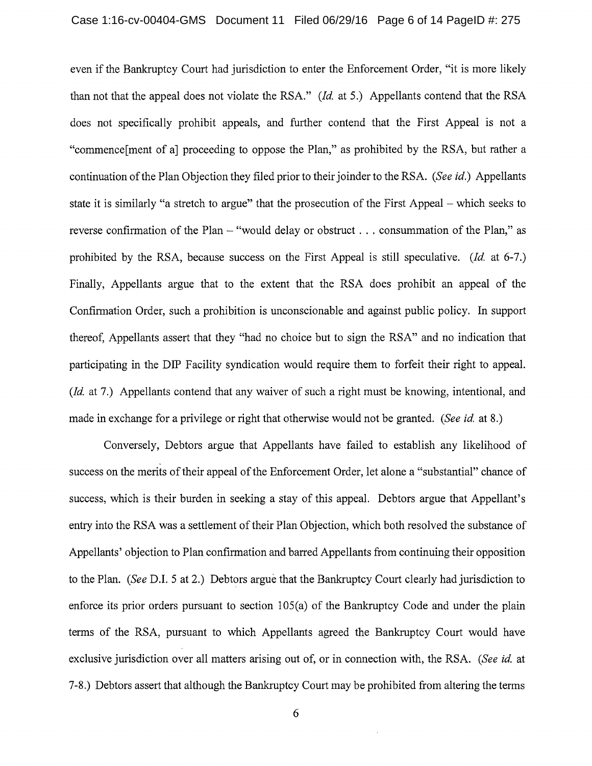even if the Bankruptcy Court had jurisdiction to enter the Enforcement Order, "it is more likely than not that the appeal does not violate the RSA." *(Id.* at 5.) Appellants contend that the RSA does not specifically prohibit appeals, and further contend that the First Appeal is not a "commence[ment of a] proceeding to oppose the Plan," as prohibited by the RSA, but rather a continuation of the Plan Objection they filed prior to their joinder to the RSA. *(See id.)* Appellants state it is similarly "a stretch to argue" that the prosecution of the First Appeal – which seeks to reverse confirmation of the Plan  $-$  "would delay or obstruct . . . consummation of the Plan," as prohibited by the RSA, because success on the First Appeal is still speculative. *(Id.* at 6-7.) Finally, Appellants argue that to the extent that the RSA does prohibit an appeal of the Confirmation Order, such a prohibition is unconscionable and against public policy. In support thereof, Appellants assert that they "had no choice but to sign the RSA" and no indication that participating in the DIP Facility syndication would require them to forfeit their right to appeal. *(Id.* at 7.) Appellants contend that any waiver of such a right must be knowing, intentional, and made in exchange for a privilege or right that otherwise would not be granted. *(See id.* at 8.)

Conversely, Debtors argue that Appellants have failed to establish any likelihood of success on the merits of their appeal of the Enforcement Order, let alone a "substantial" chance of success, which is their burden in seeking a stay of this appeal. Debtors argue that Appellant's entry into the RSA was a settlement of their Plan Objection, which both resolved the substance of Appellants' objection to Plan confirmation and barred Appellants from continuing their opposition to the Plan. *(See* D.I. 5 at 2.) Debtors argue that the Bankruptcy Court clearly had jurisdiction to enforce its prior orders pursuant to section 105(a) of the Bankruptcy Code and under the plain terms of the RSA, pursuant to which Appellants agreed the Bankruptcy Court would have exclusive jurisdiction over all matters arising out of, or in connection with, the RSA. *(See id.* at 7-8.) Debtors assert that although the Bankruptcy Court may be prohibited from altering the terms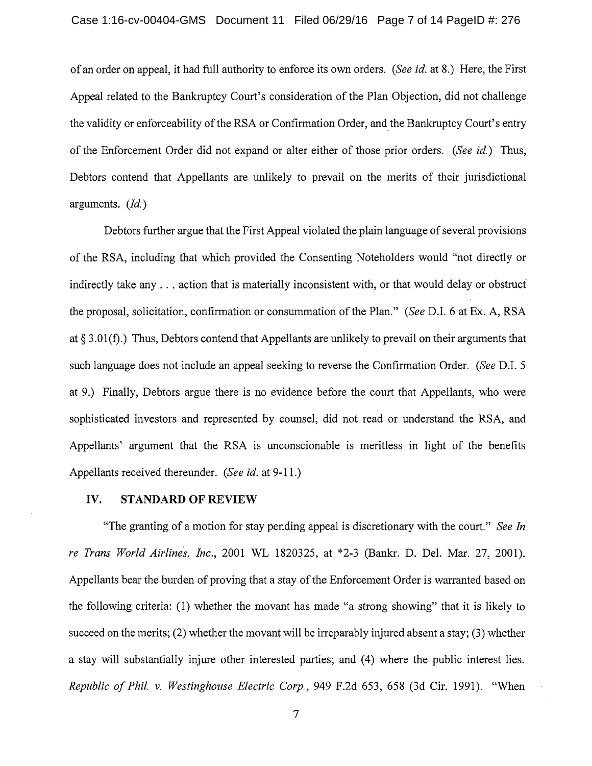of an order on appeal, it had full authority to enforce its own orders. *(See id.* at 8.) Here, the First Appeal related to the Bankruptcy Court's consideration of the Plan Objection, did not challenge the validity or enforceability of the RSA or Confirmation Order, and\_ the Bankruptcy Court's entry of the Enforcement Order did not expand or alter either of those prior orders. *(See id)* Thus, Debtors contend that Appellants are unlikely to prevail on the merits of their jurisdictional arguments. *(Id)* 

Debtors further argue that the First Appeal violated the plain language of several provisions of the RSA, including that which provided the Consenting Noteholders would "not directly or indirectly take any ... action that is materially inconsistent with, or that would delay or obstruct the proposal, solicitation, confirmation or consummation of the Plan." *(See* D.I. 6 at Ex. A, RSA at§ 3.0l(f).) Thus, Debtors contend that Appellants are unlikely to prevail on their arguments that such language does not include an appeal seeking to reverse the Confirmation Order. *(See* D.I. 5 at 9.) Finally, Debtors argue there is no evidence before the court that Appellants, who were sophisticated investors and represented by counsel, did not read or understand the RSA, and Appellants' argument that the RSA is unconscionable is meritless in light of the benefits Appellants received thereunder. *(See id.* at 9-11.)

#### IV. **STANDARD OF REVIEW**

"The granting of a motion for stay pending appeal is discretionary with the court." *See In re Trans World Airlines, Inc.,* 2001 WL 1820325, at \*2-3 (Bankr. D. Del. Mar. 27, 2001). Appellants bear the burden of proving that a stay of the Enforcement Order is warranted based on the following criteria: (1) whether the movant has made "a strong showing" that it is likely to succeed on the merits; (2) whether the movant will be irreparably injured absent a stay; (3) whether a stay will substantially injure other interested parties; and (4) where the public interest lies. *Republic of Phil. v. Westinghouse Electric Corp.,* 949 F.2d 653, 658 (3d Cir. 1991). "When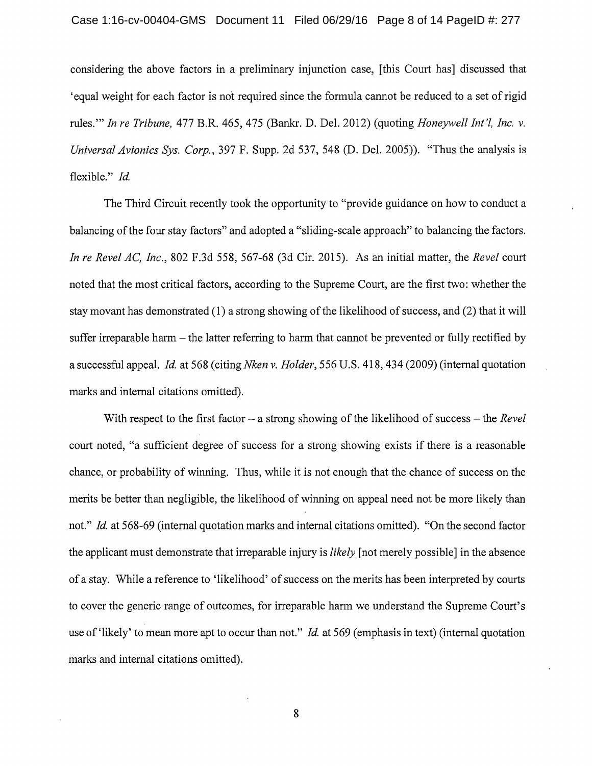considering the above factors in a preliminary injunction case, [this Court has] discussed that 'equal weight for each factor is not required since the formula cannot be reduced to a set of rigid rules."" *In re Tribune, 477 B.R. 465, 475 (Bankr. D. Del. 2012) (quoting Honeywell Int'l, Inc. v. Universal Avionics Sys. Corp.,* 397 F. Supp. 2d 537, 548 (D. Del. 2005)). "Thus the analysis is flexible." *Id.* 

The Third Circuit recently took the opportunity to "provide guidance on how to conduct a balancing of the four stay factors" and adopted a "sliding-scale approach" to balancing the factors. *In re Revel AC, Inc.,* 802 F.3d 558, 567-68 (3d Cir. 2015). As an initial matter, the *Revel* court noted that the most critical factors, according to the Supreme Court, are the first two: whether the stay movant has demonstrated (1) a strong showing of the likelihood of success, and (2) that it will suffer irreparable harm – the latter referring to harm that cannot be prevented or fully rectified by a successful appeal. *Id* at 568 (citing *Nken v. Holder,* 556 U.S. 418, 434 (2009) (internal quotation marks and internal citations omitted).

With respect to the first factor – a strong showing of the likelihood of success – the *Revel* court noted, "a sufficient degree of success for a strong showing exists if there is a reasonable chance, or probability of winning. Thus, while it is not enough that the chance of success on the merits be better than negligible, the likelihood of winning on appeal need not be more likely than not." *Id.* at 568-69 (internal quotation marks and internal citations omitted). "On the second factor the applicant must demonstrate that irreparable injury is *likely* [not merely possible] in the absence of a stay. While a reference to 'likelihood' of success on the merits has been interpreted by courts to cover the generic range of outcomes, for irreparable harm we understand the Supreme Court's use of 'likely' to mean more apt to occur than not." *Id* at 569 (emphasis in text) (internal quotation marks and internal citations omitted).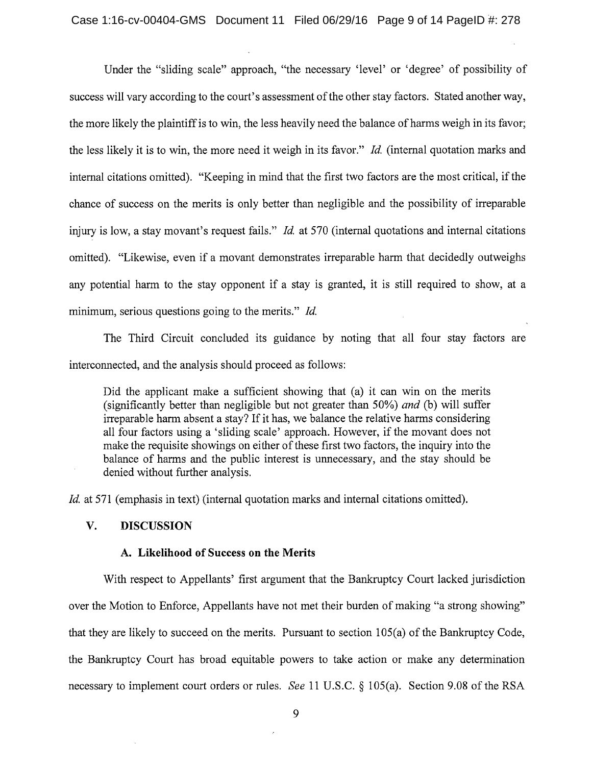Under the "sliding scale" approach, "the necessary 'level' or 'degree' of possibility of success will vary according to the court's assessment of the other stay factors. Stated another way, the more likely the plaintiff is to win, the less heavily need the balance of harms weigh in its favor; the less likely it is to win, the more need it weigh in its favor." *Id.* (internal quotation marks and internal citations omitted). "Keeping in mind that the first two factors are the most critical, if the chance of success on the merits is only better than negligible and the possibility of irreparable injury is low, a stay movant's request fails." *Id.* at 570 (internal quotations and internal citations omitted). "Likewise, even if a movant demonstrates irreparable harm that decidedly outweighs any potential harm to the stay opponent if a stay is granted, it is still required to show, at a minimum, serious questions going to the merits." *Id.* 

The Third Circuit concluded its guidance by noting that all four stay factors are interconnected, and the analysis should proceed as follows:

Did the applicant make a sufficient showing that (a) it can win on the merits (significantly better than negligible but not greater than 50%) *and* (b) will suffer irreparable harm absent a stay? If it has, we balance the relative harms considering all four factors using a 'sliding scale' approach. However, if the movant does not make the requisite showings on either of these first two factors, the inquiry into the balance of harms and the public interest is unnecessary, and the stay should be denied without further analysis.

*Id.* at 571 (emphasis in text) (internal quotation marks and internal citations omitted).

#### **V. DISCUSSION**

#### A. **Likelihood of Success on the Merits**

With respect to Appellants' first argument that the Bankruptcy Court lacked jurisdiction over the Motion to Enforce, Appellants have not met their burden of making "a strong showing" that they are likely to succeed on the merits. Pursuant to section 105(a) of the Bankruptcy Code, the Bankruptcy Court has broad equitable powers to take action or make any determination necessary to implement court orders or rules. *See* 11 U.S.C. § 105(a). Section 9.08 of the RSA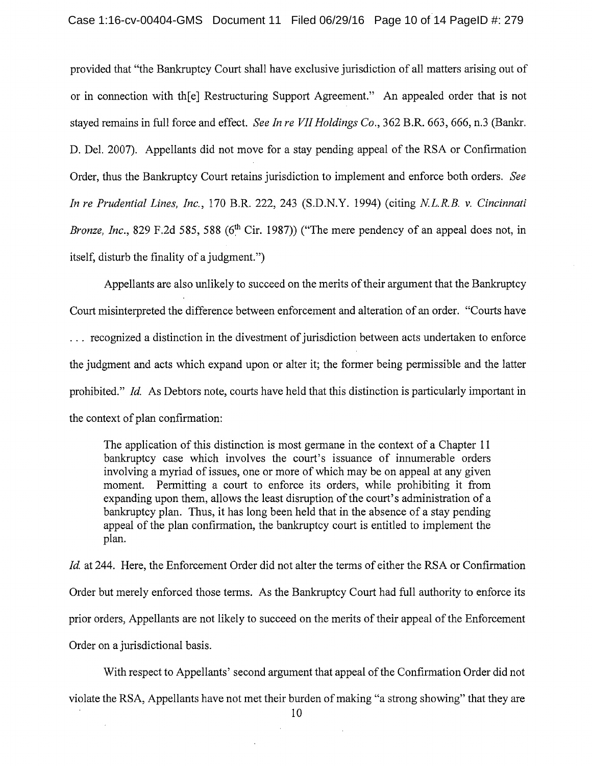provided that "the Bankruptcy Court shall have exclusive jurisdiction of all matters arising out of or in connection with th[e] Restructuring Support Agreement." An appealed order that is not stayed remains in full force and effect. *See In re VII Holdings Co.,* 362 B.R. 663, 666, n.3 (Bankr. D. Del. 2007). Appellants did not move for a stay pending appeal of the RSA or Confirmation Order, thus the Bankruptcy Court retains jurisdiction to implement and enforce both orders. *See In re Prudential Lines, Inc.,* 170 B.R. 222, 243 (S.D.N.Y. 1994) (citing *NL.R.B. v. Cincinnati Bronze, Inc.*, 829 F.2d 585, 588 (6<sup>th</sup> Cir. 1987)) ("The mere pendency of an appeal does not, in itself, disturb the finality of a judgment.")

Appellants are also unlikely to succeed on the merits of their argument that the Bankruptcy Court misinterpreted the difference between enforcement and alteration of an order. "Courts have . . . recognized a distinction in the divestment of jurisdiction between acts undertaken to enforce the judgment and acts which expand upon or alter it; the former being permissible and the latter prohibited." *Id.* As Debtors note, courts have held that this distinction is particularly important in the context of plan confirmation:

The application of this distinction is most germane in the context of a Chapter 11 bankruptcy case which involves the court's issuance of innumerable orders involving a myriad of issues, one or more of which may be on appeal at any given moment. Permitting a court to enforce its orders, while prohibiting it from expanding upon them, allows the least disruption of the court's administration of a bankruptcy plan. Thus, it has long been held that in the absence of a stay pending appeal of the plan confirmation, the bankruptcy court is entitled to implement the plan.

*Id.* at 244. Here, the Enforcement Order did not alter the terms of either the RSA or Confirmation Order but merely enforced those terms. As the Bankruptcy Court had full authority to enforce its prior orders, Appellants are not likely to succeed on the merits of their appeal of the Enforcement Order on a jurisdictional basis.

With respect to Appellants' second argument that appeal of the Confirmation Order did not violate the RSA, Appellants have not met their burden of making "a strong showing" that they are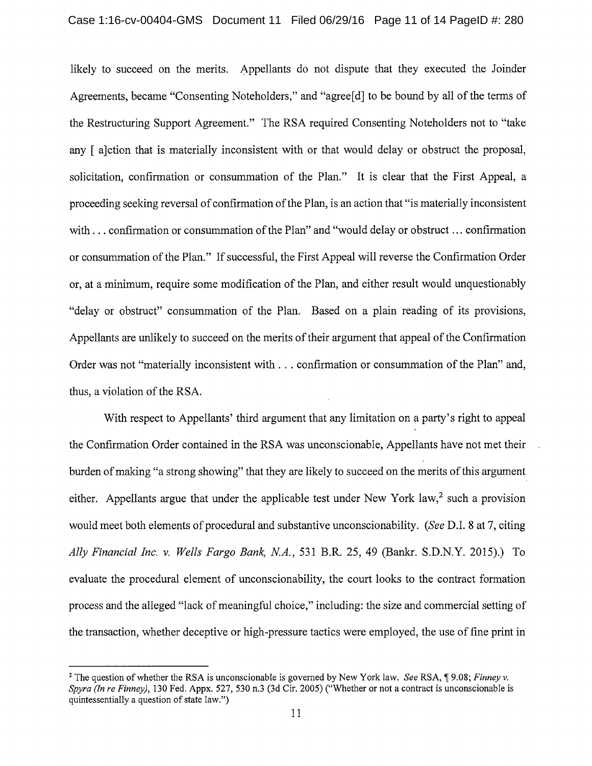likely to succeed on the merits. Appellants do not dispute that they executed the Joinder Agreements, became "Consenting Noteholders," and "agree[d] to be bound by all of the terms of the Restructuring Support Agreement." The RSA required Consenting Noteholders not to "take any [ a]ction that is materially inconsistent with or that would delay or obstruct the proposal, solicitation, confirmation or consummation of the Plan." It is clear that the First Appeal, a proceeding seeking reversal of confirmation of the Plan, is an action that "is materially inconsistent with ... confirmation or consummation of the Plan" and "would delay or obstruct ... confirmation or consummation of the Plan." If successful, the First Appeal will reverse the Confirmation Order or, at a minimum, require some modification of the Plan, and either result would unquestionably "delay or obstruct" consummation of the Plan. Based on a plain reading of its provisions, Appellants are unlikely to succeed on the merits of their argument that appeal of the Confirmation Order was not "materially inconsistent with ... confirmation or consummation of the Plan" and, thus, a violation of the RSA.

With respect to Appellants' third argument that any limitation on a party's right to appeal the Confirmation Order contained in the RSA was unconscionable, Appellants have not met their burden of making "a strong showing" that they are likely to succeed on the merits of this argument either. Appellants argue that under the applicable test under New York law,<sup>2</sup> such a provision would meet both elements of procedural and substantive unconscionability. *(See* D.I. 8 at 7, citing *Ally Financial Inc. v. Wells Fargo Bank, NA.,* 531 B.R. 25, 49 (Bankr. S.D.N.Y. 2015).) To evaluate the procedural element of unconscionability, the court looks to the contract formation process and the alleged "lack of meaningful choice," including: the size and commercial setting of the transaction, whether deceptive or high-pressure tactics were employed, the use of fine print in

<sup>&</sup>lt;sup>2</sup> The question of whether the RSA is unconscionable is governed by New York law. *See* RSA, ¶9.08; *Finney v. Spyra (In re Finney),* 130 Fed. Appx. 527, 530 n.3 (3d Cir. 2005) ("Whether or not a contract is unconscionable is quintessentially a question of state law.")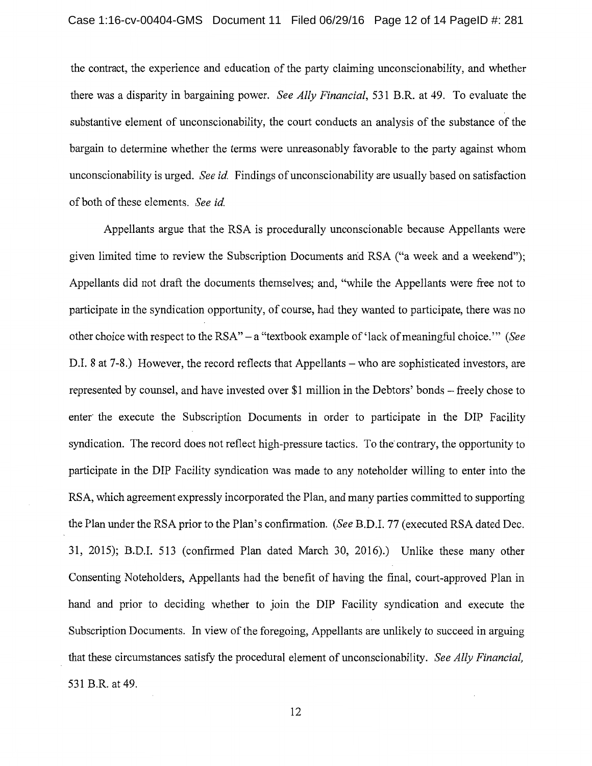the contract, the experience and education of the party claiming unconscionability, and whether there was a disparity in bargaining power. *See Ally Financial,* 531 B.R. at 49. To evaluate the substantive element of unconscionability, the court conducts an analysis of the substance of the bargain to determine whether the terms were unreasonably favorable to the party against whom unconscionability is urged. *See id.* Findings ofunconscionability are usually based on satisfaction of both of these elements. *See id.* 

Appellants argue that the RSA is procedurally unconscionable because Appellants were given limited time to review the Subscription Documents arid RSA ("a week and a weekend"); Appellants did not draft the documents themselves; and, "while the Appellants were free not to participate in the syndication opportunity, of course, had they wanted to participate, there was no other choice with respect to the RSA" - a "textbook example of 'lack of meaningful choice."' *(See*  D.I. 8 at 7-8.) However, the record reflects that Appellants – who are sophisticated investors, are represented by counsel, and have invested over \$1 million in the Debtors' bonds – freely chose to enter the execute the Subscription Documents in order to participate in the DIP Facility syndication. The record does not reflect high-pressure tactics. To the contrary, the opportunity to participate in the DIP Facility syndication was made to any noteholder willing to enter into the RSA, which agreement expressly incorporated the Plan, and many parties committed to supporting the Plan under the RSA prior to the Plan's confirmation. *(See* B.D.I. 77 (executed RSA dated Dec. 31, 2015); B.D.I. 513 (confirmed Plan dated March 30, 2016).) Unlike these many other Consenting Noteholders, Appellants had the benefit of having the final, court-approved Plan in hand and prior to deciding whether to join the DIP Facility syndication and execute the Subscription Documents. In view of the foregoing, Appellants are unlikely to succeed in arguing that these circumstances satisfy the procedural element of unconscionability. *See Ally Financial,*  531 B.R. at 49.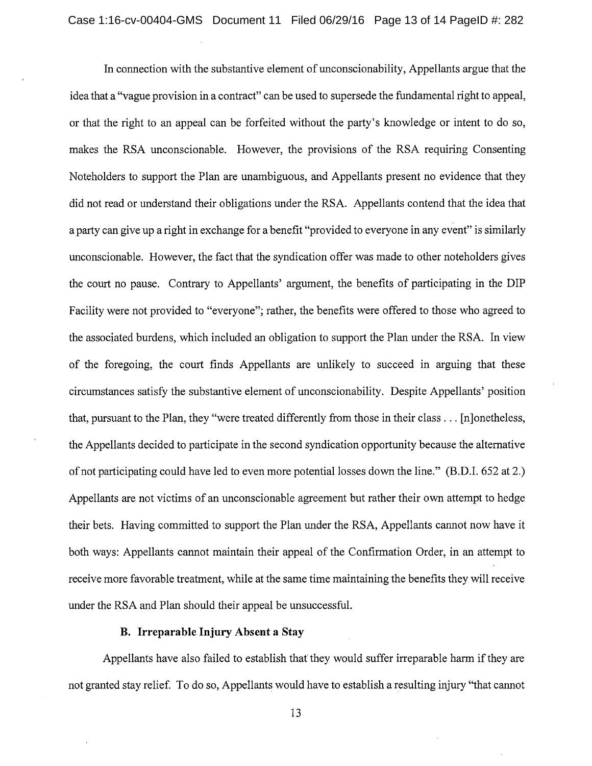In connection with the substantive element of unconscionability, Appellants argue that the idea that a "vague provision in a contract" can be used to supersede the fundamental right to appeal, or that the right to an appeal can be forfeited without the party's knowledge or intent to do so, makes the RSA unconscionable. However, the provisions of the RSA requiring Consenting Noteholders to support the Plan are unambiguous, and Appellants present no evidence that they did not read or understand their obligations under the RSA. Appellants contend that the idea that a party can give up a right in exchange for a benefit "provided to everyone in any event" is similarly unconscionable. However, the fact that the syndication offer was made to other noteholders gives the court no pause. Contrary to Appellants' argument, the benefits of participating in the DIP Facility were not provided to "everyone"; rather, the benefits were offered to those who agreed to the associated burdens, which included an obligation to support the Plan under the RSA. In view of the foregoing, the court finds Appellants are unlikely to succeed in arguing that these circumstances satisfy the substantive element of unconscionability. Despite Appellants' position that, pursuant to the Plan, they "were treated differently from those in their class ... [n]onetheless, the Appellants decided to participate in the second syndication opportunity because the alternative of not participating could have led to even more potential losses down the line." (B.D.I. 652 at 2.) Appellants are not victims of an unconscionable agreement but rather their own attempt to hedge their bets. Having committed to support the Plan under the RSA, Appellants cannot now have it both ways: Appellants cannot maintain their appeal of the Confirmation Order, in an attempt to receive more favorable treatment, while at the same time maintaining the benefits they will receive under the RSA and Plan should their appeal be unsuccessful.

### **B. Irreparable Injury Absent** a Stay

Appellants have also failed to establish that they would suffer irreparable harm if they are not granted stay relief. To do so, Appellants would have to establish a resulting injury "that cannot